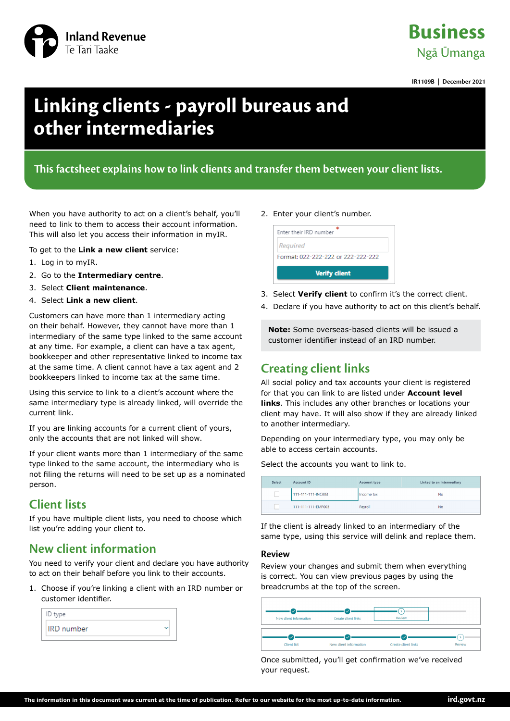

## **Business** Ngā Ūmanga

**IR1109B | December 2021**

# **Linking clients - payroll bureaus and other intermediaries**

### **This factsheet explains how to link clients and transfer them between your client lists.**

When you have authority to act on a client's behalf, you'll need to link to them to access their account information. This will also let you access their information in myIR.

To get to the **Link a new client** service:

- 1. Log in to myIR.
- 2. Go to the **Intermediary centre**.
- 3. Select **Client maintenance**.
- 4. Select **Link a new client**.

Customers can have more than 1 intermediary acting on their behalf. However, they cannot have more than 1 intermediary of the same type linked to the same account at any time. For example, a client can have a tax agent, bookkeeper and other representative linked to income tax at the same time. A client cannot have a tax agent and 2 bookkeepers linked to income tax at the same time.

Using this service to link to a client's account where the same intermediary type is already linked, will override the current link.

If you are linking accounts for a current client of yours, only the accounts that are not linked will show.

If your client wants more than 1 intermediary of the same type linked to the same account, the intermediary who is not filing the returns will need to be set up as a nominated person.

### **Client lists**

If you have multiple client lists, you need to choose which list you're adding your client to.

### **New client information**

You need to verify your client and declare you have authority to act on their behalf before you link to their accounts.

1. Choose if you're linking a client with an IRD number or customer identifier.

| ID type           |  |
|-------------------|--|
| <b>IRD</b> number |  |

#### 2. Enter your client's number.



- 3. Select **Verify client** to confirm it's the correct client.
- 4. Declare if you have authority to act on this client's behalf.

**Note:** Some overseas-based clients will be issued a customer identifier instead of an IRD number.

### **Creating client links**

All social policy and tax accounts your client is registered for that you can link to are listed under **Account level links**. This includes any other branches or locations your client may have. It will also show if they are already linked to another intermediary.

Depending on your intermediary type, you may only be able to access certain accounts.

Select the accounts you want to link to.

| Select | Account ID         | Account type | Linked to an intermediary |
|--------|--------------------|--------------|---------------------------|
|        | 111-111-111-INC003 | Income tax   | No                        |
|        | 111-111-111-EMP003 | Payroll      | No                        |

If the client is already linked to an intermediary of the same type, using this service will delink and replace them.

#### **Review**

Review your changes and submit them when everything is correct. You can view previous pages by using the breadcrumbs at the top of the screen.

| New client information             | Create client links    | Review              |        |
|------------------------------------|------------------------|---------------------|--------|
| $\checkmark$<br><b>Client list</b> | New client information | Create client links | Review |

Once submitted, you'll get confirmation we've received your request.